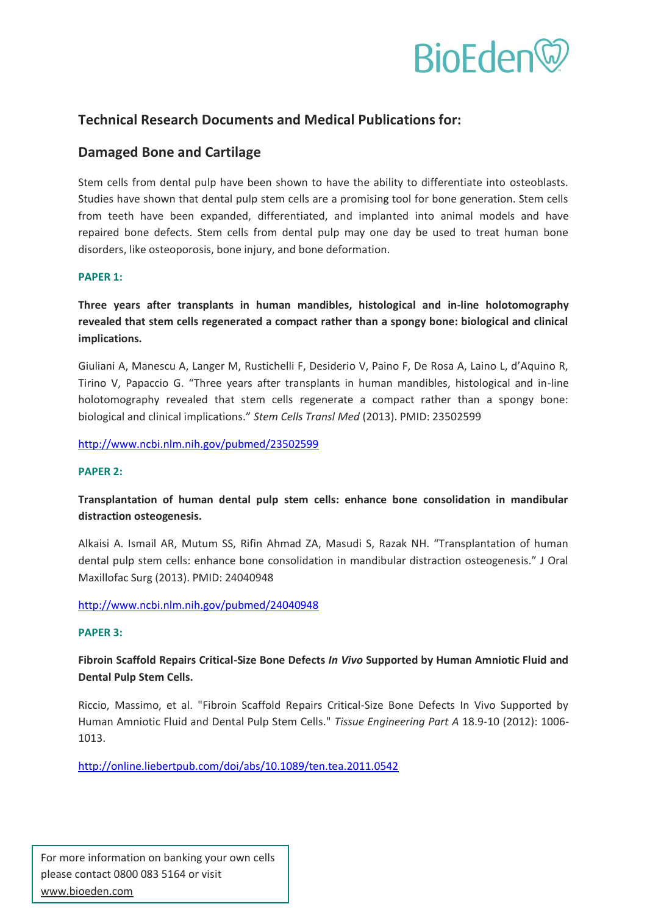

# **Technical Research Documents and Medical Publications for:**

# **Damaged Bone and Cartilage**

Stem cells from dental pulp have been shown to have the ability to differentiate into osteoblasts. Studies have shown that dental pulp stem cells are a promising tool for bone generation. Stem cells from teeth have been expanded, differentiated, and implanted into animal models and have repaired bone defects. Stem cells from dental pulp may one day be used to treat human bone disorders, like osteoporosis, bone injury, and bone deformation.

# **PAPER 1:**

**Three years after transplants in human mandibles, histological and in-line holotomography revealed that stem cells regenerated a compact rather than a spongy bone: biological and clinical implications.** 

Giuliani A, Manescu A, Langer M, Rustichelli F, Desiderio V, Paino F, De Rosa A, Laino L, d'Aquino R, Tirino V, Papaccio G. "Three years after transplants in human mandibles, histological and in-line holotomography revealed that stem cells regenerate a compact rather than a spongy bone: biological and clinical implications." *Stem Cells Transl Med* (2013). PMID: 23502599

<http://www.ncbi.nlm.nih.gov/pubmed/23502599>

## **PAPER 2:**

**Transplantation of human dental pulp stem cells: enhance bone consolidation in mandibular distraction osteogenesis.** 

Alkaisi A. Ismail AR, Mutum SS, Rifin Ahmad ZA, Masudi S, Razak NH. "Transplantation of human dental pulp stem cells: enhance bone consolidation in mandibular distraction osteogenesis." J Oral Maxillofac Surg (2013). PMID: 24040948

<http://www.ncbi.nlm.nih.gov/pubmed/24040948>

## **PAPER 3:**

**Fibroin Scaffold Repairs Critical-Size Bone Defects** *In Vivo* **Supported by Human Amniotic Fluid and Dental Pulp Stem Cells.** 

Riccio, Massimo, et al. "Fibroin Scaffold Repairs Critical-Size Bone Defects In Vivo Supported by Human Amniotic Fluid and Dental Pulp Stem Cells." *Tissue Engineering Part A* 18.9-10 (2012): 1006- 1013.

<http://online.liebertpub.com/doi/abs/10.1089/ten.tea.2011.0542>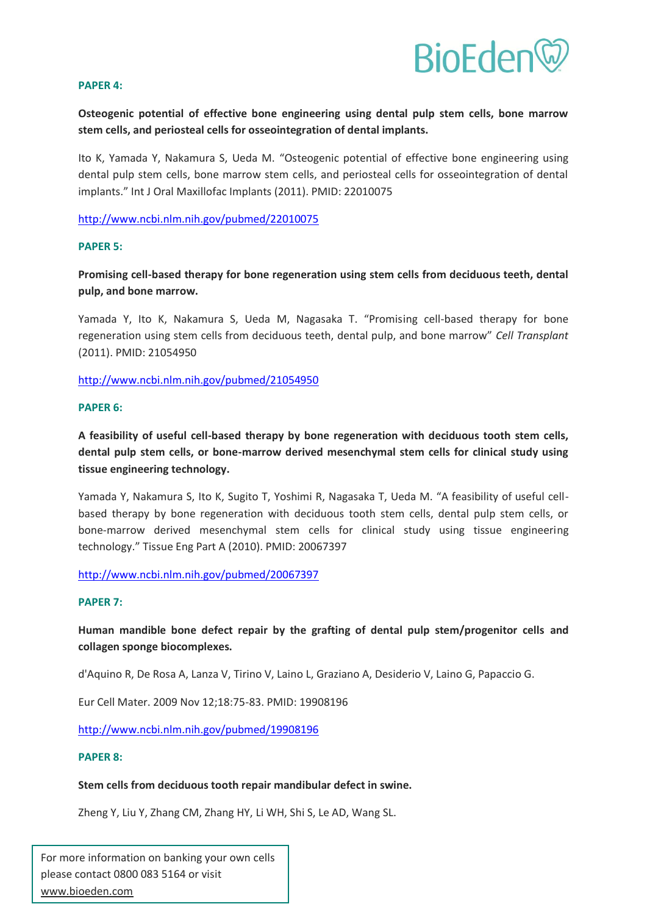

#### **PAPER 4:**

**Osteogenic potential of effective bone engineering using dental pulp stem cells, bone marrow stem cells, and periosteal cells for osseointegration of dental implants.** 

Ito K, Yamada Y, Nakamura S, Ueda M. "Osteogenic potential of effective bone engineering using dental pulp stem cells, bone marrow stem cells, and periosteal cells for osseointegration of dental implants." Int J Oral Maxillofac Implants (2011). PMID: 22010075

<http://www.ncbi.nlm.nih.gov/pubmed/22010075>

#### **PAPER 5:**

**Promising cell-based therapy for bone regeneration using stem cells from deciduous teeth, dental pulp, and bone marrow.** 

Yamada Y, Ito K, Nakamura S, Ueda M, Nagasaka T. "Promising cell-based therapy for bone regeneration using stem cells from deciduous teeth, dental pulp, and bone marrow" *Cell Transplant*  (2011). PMID: 21054950

<http://www.ncbi.nlm.nih.gov/pubmed/21054950>

#### **PAPER 6:**

**A feasibility of useful cell-based therapy by bone regeneration with deciduous tooth stem cells, dental pulp stem cells, or bone-marrow derived mesenchymal stem cells for clinical study using tissue engineering technology.** 

Yamada Y, Nakamura S, Ito K, Sugito T, Yoshimi R, Nagasaka T, Ueda M. "A feasibility of useful cellbased therapy by bone regeneration with deciduous tooth stem cells, dental pulp stem cells, or bone-marrow derived mesenchymal stem cells for clinical study using tissue engineering technology." Tissue Eng Part A (2010). PMID: 20067397

<http://www.ncbi.nlm.nih.gov/pubmed/20067397>

#### **PAPER 7:**

# **Human mandible bone defect repair by the grafting of dental pulp stem/progenitor cells and collagen sponge biocomplexes.**

d'Aquino R, De Rosa A, Lanza V, Tirino V, Laino L, Graziano A, Desiderio V, Laino G, Papaccio G.

Eur Cell Mater. 2009 Nov 12;18:75-83. PMID: 19908196

<http://www.ncbi.nlm.nih.gov/pubmed/19908196>

#### **PAPER 8:**

#### **Stem cells from deciduous tooth repair mandibular defect in swine.**

Zheng Y, Liu Y, Zhang CM, Zhang HY, Li WH, Shi S, Le AD, Wang SL.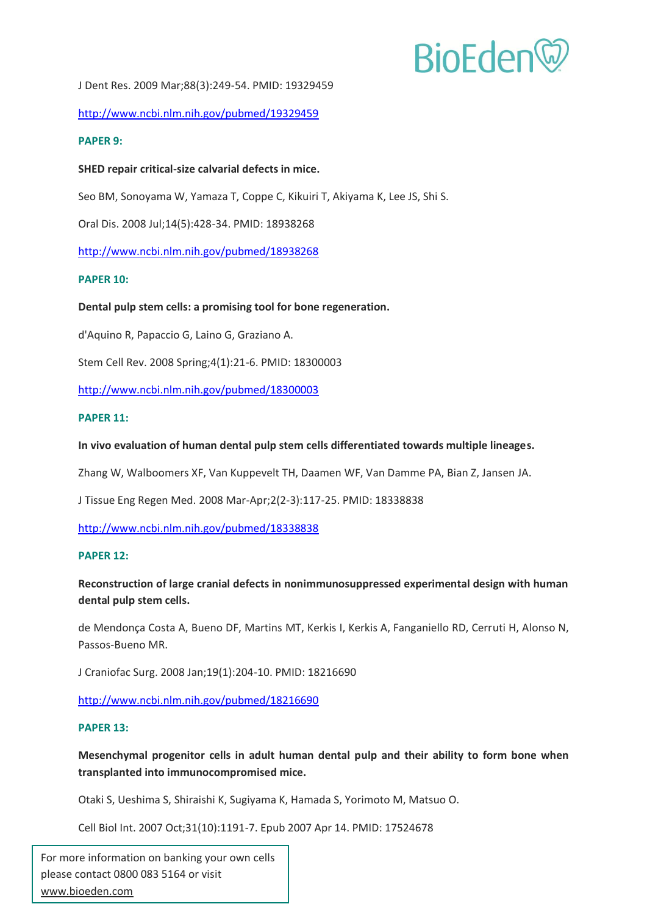# **BioEden**

J Dent Res. 2009 Mar;88(3):249-54. PMID: 19329459

<http://www.ncbi.nlm.nih.gov/pubmed/19329459>

## **PAPER 9:**

# **SHED repair critical-size calvarial defects in mice.**

Seo BM, Sonoyama W, Yamaza T, Coppe C, Kikuiri T, Akiyama K, Lee JS, Shi S.

Oral Dis. 2008 Jul;14(5):428-34. PMID: 18938268

<http://www.ncbi.nlm.nih.gov/pubmed/18938268>

## **PAPER 10:**

## **Dental pulp stem cells: a promising tool for bone regeneration.**

d'Aquino R, Papaccio G, Laino G, Graziano A.

Stem Cell Rev. 2008 Spring;4(1):21-6. PMID: 18300003

<http://www.ncbi.nlm.nih.gov/pubmed/18300003>

## **PAPER 11:**

## **In vivo evaluation of human dental pulp stem cells differentiated towards multiple lineages.**

Zhang W, Walboomers XF, Van Kuppevelt TH, Daamen WF, Van Damme PA, Bian Z, Jansen JA.

J Tissue Eng Regen Med. 2008 Mar-Apr;2(2-3):117-25. PMID: 18338838

<http://www.ncbi.nlm.nih.gov/pubmed/18338838>

## **PAPER 12:**

# **Reconstruction of large cranial defects in nonimmunosuppressed experimental design with human dental pulp stem cells.**

de Mendonça Costa A, Bueno DF, Martins MT, Kerkis I, Kerkis A, Fanganiello RD, Cerruti H, Alonso N, Passos-Bueno MR.

J Craniofac Surg. 2008 Jan;19(1):204-10. PMID: 18216690

<http://www.ncbi.nlm.nih.gov/pubmed/18216690>

## **PAPER 13:**

**Mesenchymal progenitor cells in adult human dental pulp and their ability to form bone when transplanted into immunocompromised mice.** 

Otaki S, Ueshima S, Shiraishi K, Sugiyama K, Hamada S, Yorimoto M, Matsuo O.

Cell Biol Int. 2007 Oct;31(10):1191-7. Epub 2007 Apr 14. PMID: 17524678